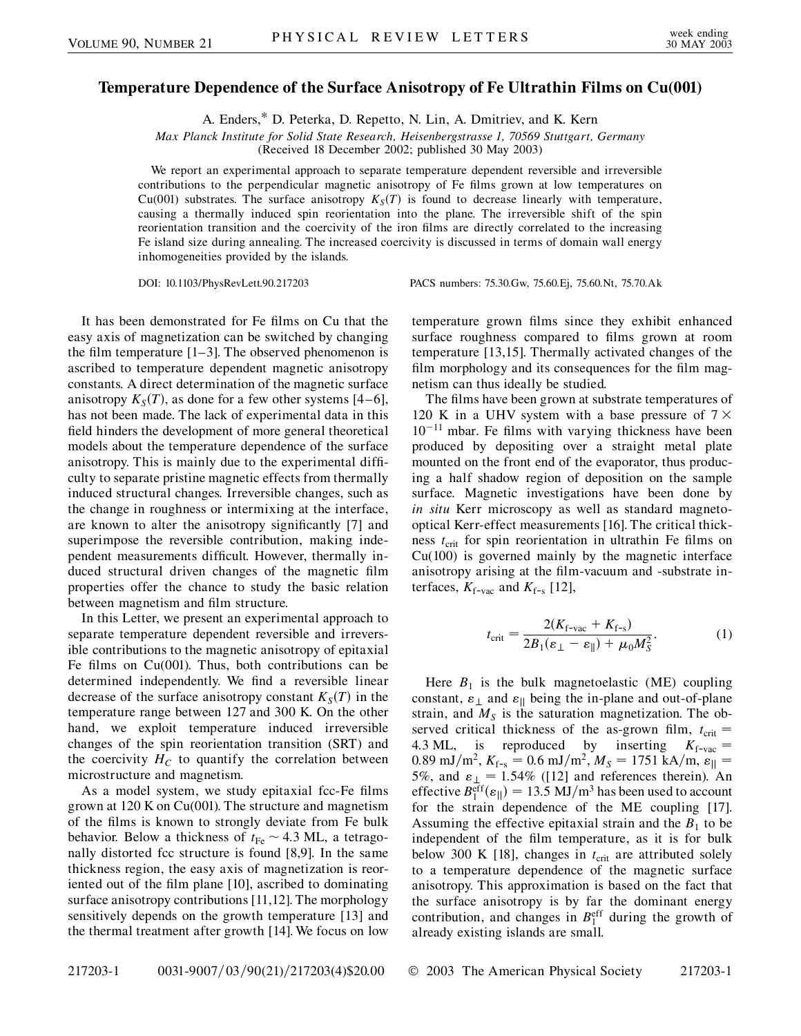## **Temperature Dependence of the Surface Anisotropy of Fe Ultrathin Films on Cu(001)**

A. Enders,\* D. Peterka, D. Repetto, N. Lin, A. Dmitriev, and K. Kern

*Max Planck Institute for Solid State Research, Heisenbergstrasse 1, 70569 Stuttgart, Germany*

(Received 18 December 2002; published 30 May 2003)

We report an experimental approach to separate temperature dependent reversible and irreversible contributions to the perpendicular magnetic anisotropy of Fe films grown at low temperatures on Cu(001) substrates. The surface anisotropy  $K_S(T)$  is found to decrease linearly with temperature, causing a thermally induced spin reorientation into the plane. The irreversible shift of the spin reorientation transition and the coercivity of the iron films are directly correlated to the increasing Fe island size during annealing. The increased coercivity is discussed in terms of domain wall energy inhomogeneities provided by the islands.

DOI: 10.1103/PhysRevLett.90.217203 PACS numbers: 75.30.Gw, 75.60.Ej, 75.60.Nt, 75.70.Ak

It has been demonstrated for Fe films on Cu that the easy axis of magnetization can be switched by changing the film temperature [1–3]. The observed phenomenon is ascribed to temperature dependent magnetic anisotropy constants. A direct determination of the magnetic surface anisotropy  $K_S(T)$ , as done for a few other systems [4–6], has not been made. The lack of experimental data in this field hinders the development of more general theoretical models about the temperature dependence of the surface anisotropy. This is mainly due to the experimental difficulty to separate pristine magnetic effects from thermally induced structural changes. Irreversible changes, such as the change in roughness or intermixing at the interface, are known to alter the anisotropy significantly [7] and superimpose the reversible contribution, making independent measurements difficult. However, thermally induced structural driven changes of the magnetic film properties offer the chance to study the basic relation between magnetism and film structure.

In this Letter, we present an experimental approach to separate temperature dependent reversible and irreversible contributions to the magnetic anisotropy of epitaxial Fe films on Cu(001). Thus, both contributions can be determined independently. We find a reversible linear decrease of the surface anisotropy constant  $K_S(T)$  in the temperature range between 127 and 300 K. On the other hand, we exploit temperature induced irreversible changes of the spin reorientation transition (SRT) and the coercivity  $H_C$  to quantify the correlation between microstructure and magnetism.

As a model system, we study epitaxial fcc-Fe films grown at 120 K on Cu(001). The structure and magnetism of the films is known to strongly deviate from Fe bulk behavior. Below a thickness of  $t_{\text{Fe}} \sim 4.3 \text{ ML}$ , a tetragonally distorted fcc structure is found [8,9]. In the same thickness region, the easy axis of magnetization is reoriented out of the film plane [10], ascribed to dominating surface anisotropy contributions [11,12]. The morphology sensitively depends on the growth temperature [13] and the thermal treatment after growth [14]. We focus on low temperature grown films since they exhibit enhanced surface roughness compared to films grown at room temperature [13,15]. Thermally activated changes of the film morphology and its consequences for the film magnetism can thus ideally be studied.

The films have been grown at substrate temperatures of 120 K in a UHV system with a base pressure of  $7 \times$  $10^{-11}$  mbar. Fe films with varying thickness have been produced by depositing over a straight metal plate mounted on the front end of the evaporator, thus producing a half shadow region of deposition on the sample surface. Magnetic investigations have been done by *in situ* Kerr microscopy as well as standard magnetooptical Kerr-effect measurements [16]. The critical thickness  $t_{\text{crit}}$  for spin reorientation in ultrathin Fe films on Cu(100) is governed mainly by the magnetic interface anisotropy arising at the film-vacuum and -substrate interfaces,  $K_{f$ -vac and  $K_{f-s}$  [12],

$$
t_{\rm crit} = \frac{2(K_{\rm f-vac} + K_{\rm f-s})}{2B_1(\varepsilon_{\perp} - \varepsilon_{\parallel}) + \mu_0 M_S^2}.
$$
 (1)

Here  $B_1$  is the bulk magnetoelastic (ME) coupling constant,  $\varepsilon_{\perp}$  and  $\varepsilon_{\parallel}$  being the in-plane and out-of-plane strain, and  $M<sub>S</sub>$  is the saturation magnetization. The observed critical thickness of the as-grown film,  $t_{\text{crit}} =$ 4.3 ML, is reproduced by inserting  $K_{f-\text{vac}} =$  $0.89 \text{ mJ/m}^2$ ,  $K_{f-s} = 0.6 \text{ mJ/m}^2$ ,  $M_S = 1751 \text{ kA/m}$ ,  $\varepsilon_{\parallel} =$ 5%, and  $\varepsilon_{\perp} = 1.54\%$  ([12] and references therein). An effective  $B_1^{\text{eff}}(\varepsilon_{||}) = 13.5 \text{ MJ/m}^3$  has been used to account for the strain dependence of the ME coupling [17]. Assuming the effective epitaxial strain and the  $B_1$  to be independent of the film temperature, as it is for bulk below 300 K [18], changes in  $t_{\text{crit}}$  are attributed solely to a temperature dependence of the magnetic surface anisotropy. This approximation is based on the fact that the surface anisotropy is by far the dominant energy contribution, and changes in  $B_1^{\text{eff}}$  during the growth of already existing islands are small.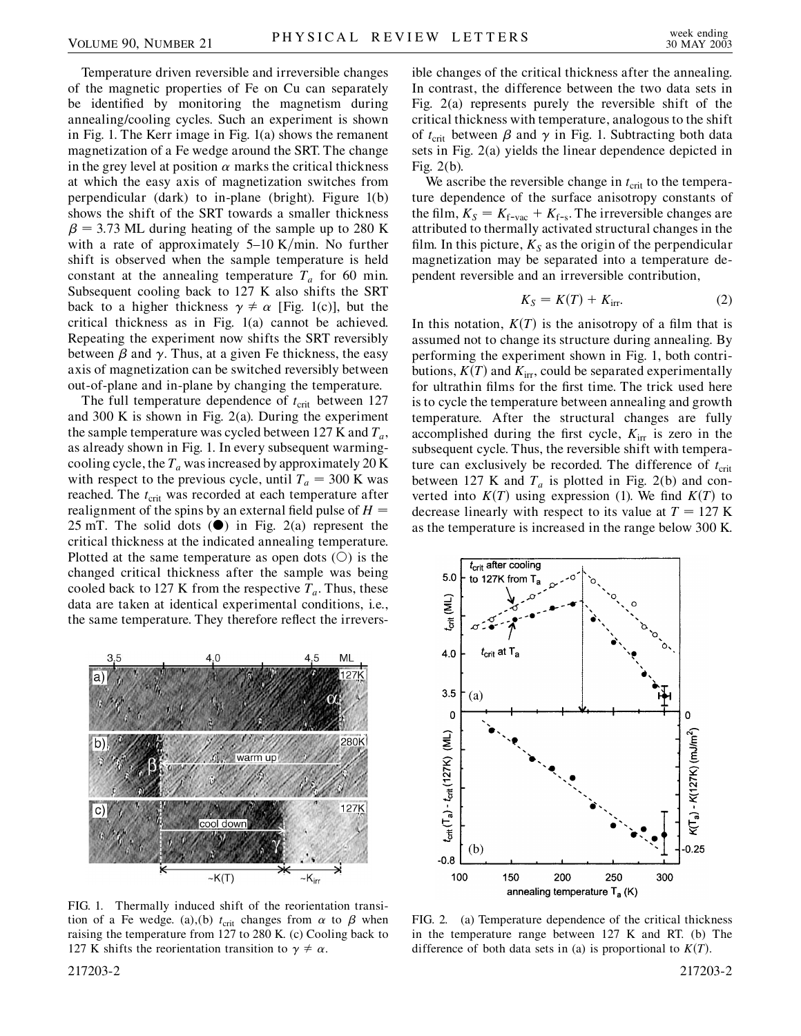Temperature driven reversible and irreversible changes of the magnetic properties of Fe on Cu can separately be identified by monitoring the magnetism during annealing/cooling cycles. Such an experiment is shown in Fig. 1. The Kerr image in Fig. 1(a) shows the remanent magnetization of a Fe wedge around the SRT. The change in the grey level at position  $\alpha$  marks the critical thickness at which the easy axis of magnetization switches from perpendicular (dark) to in-plane (bright). Figure 1(b) shows the shift of the SRT towards a smaller thickness  $\beta$  = 3.73 ML during heating of the sample up to 280 K with a rate of approximately  $5-10$  K/min. No further shift is observed when the sample temperature is held constant at the annealing temperature  $T_a$  for 60 min. Subsequent cooling back to 127 K also shifts the SRT back to a higher thickness  $\gamma \neq \alpha$  [Fig. 1(c)], but the critical thickness as in Fig. 1(a) cannot be achieved. Repeating the experiment now shifts the SRT reversibly between  $\beta$  and  $\gamma$ . Thus, at a given Fe thickness, the easy axis of magnetization can be switched reversibly between out-of-plane and in-plane by changing the temperature.

The full temperature dependence of  $t_{\text{crit}}$  between 127 and 300 K is shown in Fig. 2(a). During the experiment the sample temperature was cycled between 127 K and  $T_a$ , as already shown in Fig. 1. In every subsequent warmingcooling cycle, the  $T_a$  was increased by approximately 20 K with respect to the previous cycle, until  $T_a = 300$  K was reached. The  $t_{\text{crit}}$  was recorded at each temperature after realignment of the spins by an external field pulse of *H* 25 mT. The solid dots  $(\bullet)$  in Fig. 2(a) represent the critical thickness at the indicated annealing temperature. Plotted at the same temperature as open dots  $(O)$  is the changed critical thickness after the sample was being cooled back to 127 K from the respective  $T_a$ . Thus, these data are taken at identical experimental conditions, i.e., the same temperature. They therefore reflect the irrevers-



FIG. 1. Thermally induced shift of the reorientation transition of a Fe wedge. (a),(b)  $t_{\text{crit}}$  changes from  $\alpha$  to  $\beta$  when raising the temperature from 127 to 280 K. (c) Cooling back to 127 K shifts the reorientation transition to  $\gamma \neq \alpha$ .

ible changes of the critical thickness after the annealing. In contrast, the difference between the two data sets in Fig. 2(a) represents purely the reversible shift of the critical thickness with temperature, analogous to the shift of  $t_{\text{crit}}$  between  $\beta$  and  $\gamma$  in Fig. 1. Subtracting both data sets in Fig. 2(a) yields the linear dependence depicted in Fig. 2(b).

We ascribe the reversible change in  $t_{\text{crit}}$  to the temperature dependence of the surface anisotropy constants of the film,  $K_S = K_{f$ -vac +  $K_{f-s}$ . The irreversible changes are attributed to thermally activated structural changes in the film. In this picture,  $K_S$  as the origin of the perpendicular magnetization may be separated into a temperature dependent reversible and an irreversible contribution,

$$
K_S = K(T) + K_{\text{irr}}.\tag{2}
$$

In this notation,  $K(T)$  is the anisotropy of a film that is assumed not to change its structure during annealing. By performing the experiment shown in Fig. 1, both contributions,  $K(T)$  and  $K<sub>irr</sub>$ , could be separated experimentally for ultrathin films for the first time. The trick used here is to cycle the temperature between annealing and growth temperature. After the structural changes are fully accomplished during the first cycle,  $K_{irr}$  is zero in the subsequent cycle. Thus, the reversible shift with temperature can exclusively be recorded. The difference of  $t_{\text{crit}}$ between 127 K and  $T_a$  is plotted in Fig. 2(b) and converted into  $K(T)$  using expression (1). We find  $K(T)$  to decrease linearly with respect to its value at  $T = 127$  K as the temperature is increased in the range below 300 K.



FIG. 2. (a) Temperature dependence of the critical thickness in the temperature range between 127 K and RT. (b) The difference of both data sets in (a) is proportional to  $K(T)$ .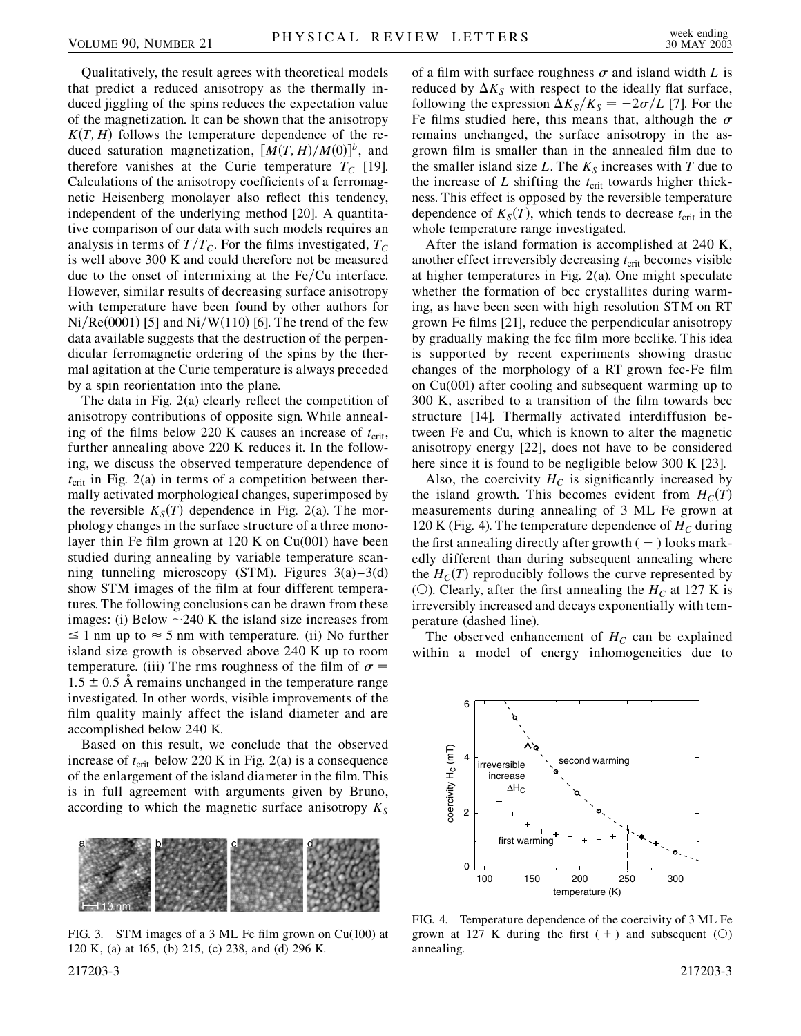Qualitatively, the result agrees with theoretical models that predict a reduced anisotropy as the thermally induced jiggling of the spins reduces the expectation value of the magnetization. It can be shown that the anisotropy  $K(T, H)$  follows the temperature dependence of the reduced saturation magnetization,  $[M(T, H)/M(0)]^b$ , and therefore vanishes at the Curie temperature  $T_c$  [19]. Calculations of the anisotropy coefficients of a ferromagnetic Heisenberg monolayer also reflect this tendency, independent of the underlying method [20]. A quantitative comparison of our data with such models requires an analysis in terms of  $T/T_c$ . For the films investigated,  $T_c$ is well above 300 K and could therefore not be measured due to the onset of intermixing at the Fe/Cu interface. However, similar results of decreasing surface anisotropy with temperature have been found by other authors for Ni/Re(0001) [5] and Ni/W(110) [6]. The trend of the few data available suggests that the destruction of the perpendicular ferromagnetic ordering of the spins by the thermal agitation at the Curie temperature is always preceded by a spin reorientation into the plane.

The data in Fig. 2(a) clearly reflect the competition of anisotropy contributions of opposite sign. While annealing of the films below 220 K causes an increase of  $t_{\text{crit}}$ , further annealing above 220 K reduces it. In the following, we discuss the observed temperature dependence of  $t_{\text{crit}}$  in Fig. 2(a) in terms of a competition between thermally activated morphological changes, superimposed by the reversible  $K_S(T)$  dependence in Fig. 2(a). The morphology changes in the surface structure of a three monolayer thin Fe film grown at 120 K on  $Cu(001)$  have been studied during annealing by variable temperature scanning tunneling microscopy (STM). Figures  $3(a)-3(d)$ show STM images of the film at four different temperatures. The following conclusions can be drawn from these images: (i) Below  $\sim$  240 K the island size increases from  $\leq 1$  nm up to  $\approx 5$  nm with temperature. (ii) No further island size growth is observed above 240 K up to room temperature. (iii) The rms roughness of the film of  $\sigma$  =  $1.5 \pm 0.5$  Å remains unchanged in the temperature range investigated. In other words, visible improvements of the film quality mainly affect the island diameter and are accomplished below 240 K.

Based on this result, we conclude that the observed increase of  $t_{\text{crit}}$  below 220 K in Fig. 2(a) is a consequence of the enlargement of the island diameter in the film. This is in full agreement with arguments given by Bruno, according to which the magnetic surface anisotropy  $K_S$ 



FIG. 3. STM images of a 3 ML Fe film grown on Cu(100) at 120 K, (a) at 165, (b) 215, (c) 238, and (d) 296 K.

of a film with surface roughness  $\sigma$  and island width *L* is reduced by  $\Delta K_S$  with respect to the ideally flat surface, following the expression  $\Delta K_S/K_S = -2\sigma/L$  [7]. For the Fe films studied here, this means that, although the  $\sigma$ remains unchanged, the surface anisotropy in the asgrown film is smaller than in the annealed film due to the smaller island size  $L$ . The  $K<sub>S</sub>$  increases with  $T$  due to the increase of  $L$  shifting the  $t_{\text{crit}}$  towards higher thickness. This effect is opposed by the reversible temperature dependence of  $K_S(T)$ , which tends to decrease  $t_{\text{crit}}$  in the whole temperature range investigated.

After the island formation is accomplished at 240 K, another effect irreversibly decreasing  $t_{\text{crit}}$  becomes visible at higher temperatures in Fig. 2(a). One might speculate whether the formation of bcc crystallites during warming, as have been seen with high resolution STM on RT grown Fe films [21], reduce the perpendicular anisotropy by gradually making the fcc film more bcclike. This idea is supported by recent experiments showing drastic changes of the morphology of a RT grown fcc-Fe film on Cu(001) after cooling and subsequent warming up to 300 K, ascribed to a transition of the film towards bcc structure [14]. Thermally activated interdiffusion between Fe and Cu, which is known to alter the magnetic anisotropy energy [22], does not have to be considered here since it is found to be negligible below 300 K [23].

Also, the coercivity  $H_C$  is significantly increased by the island growth. This becomes evident from  $H_C(T)$ measurements during annealing of 3 ML Fe grown at 120 K (Fig. 4). The temperature dependence of  $H_C$  during the first annealing directly after growth  $(+)$  looks markedly different than during subsequent annealing where the  $H_C(T)$  reproducibly follows the curve represented by (O). Clearly, after the first annealing the  $H_C$  at 127 K is irreversibly increased and decays exponentially with temperature (dashed line).

The observed enhancement of  $H_C$  can be explained within a model of energy inhomogeneities due to



FIG. 4. Temperature dependence of the coercivity of 3 ML Fe grown at 127 K during the first  $(+)$  and subsequent  $(()$ annealing.